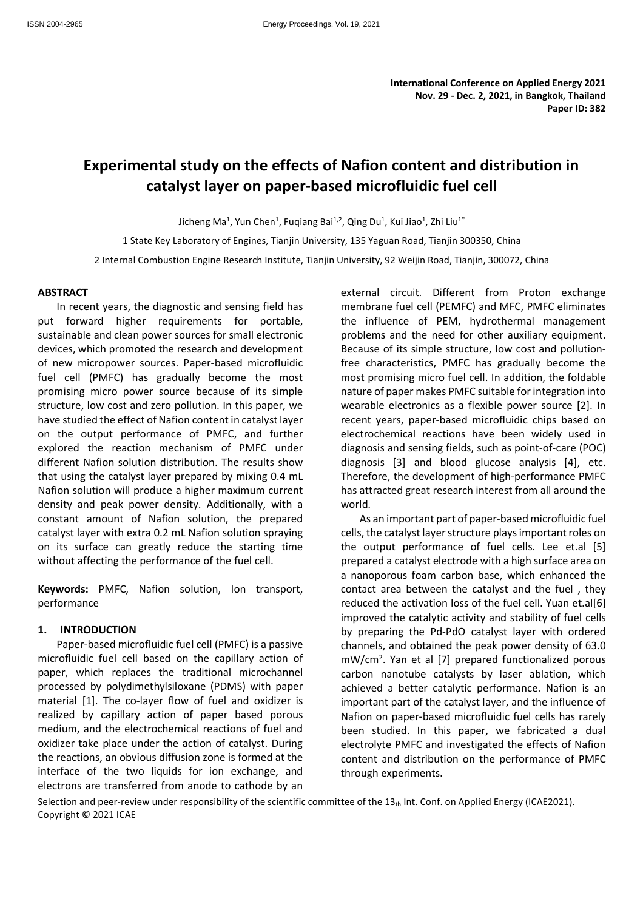# **Experimental study on the effects of Nafion content and distribution in catalyst layer on paper-based microfluidic fuel cell**

Jicheng Ma<sup>1</sup>, Yun Chen<sup>1</sup>, Fuqiang Bai<sup>1,2</sup>, Qing Du<sup>1</sup>, Kui Jiao<sup>1</sup>, Zhi Liu<sup>1\*</sup>

1 State Key Laboratory of Engines, Tianjin University, 135 Yaguan Road, Tianjin 300350, China

2 Internal Combustion Engine Research Institute, Tianjin University, 92 Weijin Road, Tianjin, 300072, China

### **ABSTRACT**

In recent years, the diagnostic and sensing field has put forward higher requirements for portable, sustainable and clean power sources for small electronic devices, which promoted the research and development of new micropower sources. Paper-based microfluidic fuel cell (PMFC) has gradually become the most promising micro power source because of its simple structure, low cost and zero pollution. In this paper, we have studied the effect of Nafion content in catalyst layer on the output performance of PMFC, and further explored the reaction mechanism of PMFC under different Nafion solution distribution. The results show that using the catalyst layer prepared by mixing 0.4 mL Nafion solution will produce a higher maximum current density and peak power density. Additionally, with a constant amount of Nafion solution, the prepared catalyst layer with extra 0.2 mL Nafion solution spraying on its surface can greatly reduce the starting time without affecting the performance of the fuel cell.

**Keywords:** PMFC, Nafion solution, Ion transport, performance

#### **1. INTRODUCTION**

Paper-based microfluidic fuel cell (PMFC) is a passive microfluidic fuel cell based on the capillary action of paper, which replaces the traditional microchannel processed by polydimethylsiloxane (PDMS) with paper material [1]. The co-layer flow of fuel and oxidizer is realized by capillary action of paper based porous medium, and the electrochemical reactions of fuel and oxidizer take place under the action of catalyst. During the reactions, an obvious diffusion zone is formed at the interface of the two liquids for ion exchange, and electrons are transferred from anode to cathode by an

external circuit. Different from Proton exchange membrane fuel cell (PEMFC) and MFC, PMFC eliminates the influence of PEM, hydrothermal management problems and the need for other auxiliary equipment. Because of its simple structure, low cost and pollutionfree characteristics, PMFC has gradually become the most promising micro fuel cell. In addition, the foldable nature of paper makes PMFC suitable for integration into wearable electronics as a flexible power source [2]. In recent years, paper-based microfluidic chips based on electrochemical reactions have been widely used in diagnosis and sensing fields, such as point-of-care (POC) diagnosis [3] and blood glucose analysis [4], etc. Therefore, the development of high-performance PMFC has attracted great research interest from all around the world.

As an important part of paper-based microfluidic fuel cells, the catalyst layer structure plays important roles on the output performance of fuel cells. Lee et.al [5] prepared a catalyst electrode with a high surface area on a nanoporous foam carbon base, which enhanced the contact area between the catalyst and the fuel , they reduced the activation loss of the fuel cell. Yuan et.al[6] improved the catalytic activity and stability of fuel cells by preparing the Pd-PdO catalyst layer with ordered channels, and obtained the peak power density of 63.0 mW/cm<sup>2</sup> . Yan et al [7] prepared functionalized porous carbon nanotube catalysts by laser ablation, which achieved a better catalytic performance. Nafion is an important part of the catalyst layer, and the influence of Nafion on paper-based microfluidic fuel cells has rarely been studied. In this paper, we fabricated a dual electrolyte PMFC and investigated the effects of Nafion content and distribution on the performance of PMFC through experiments.

Selection and peer-review under responsibility of the scientific committee of the 13th Int. Conf. on Applied Energy (ICAE2021). Copyright © 2021 ICAE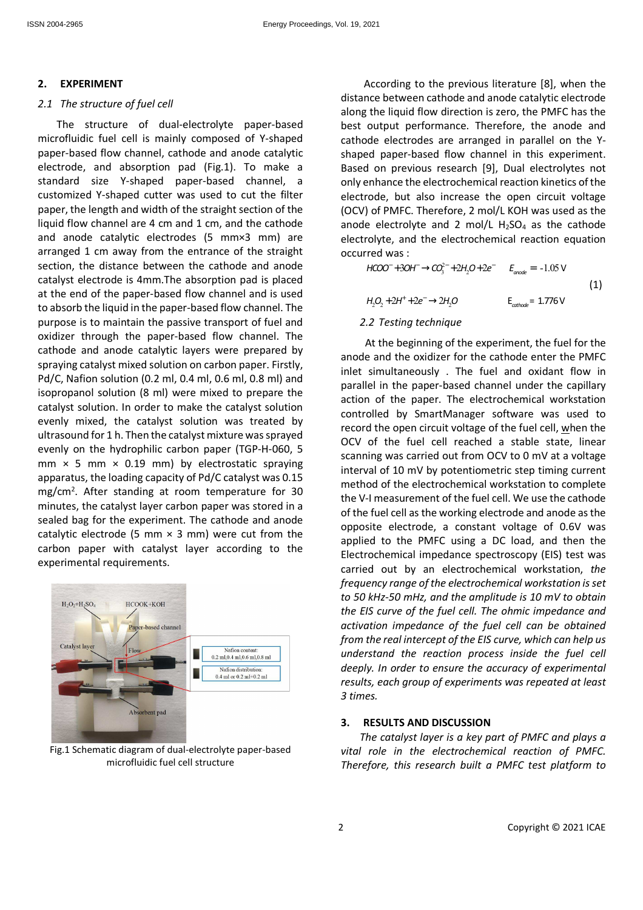# **2. EXPERIMENT**

### *2.1 The structure of fuel cell*

The structure of dual-electrolyte paper-based microfluidic fuel cell is mainly composed of Y-shaped paper-based flow channel, cathode and anode catalytic electrode, and absorption pad (Fig.1). To make a standard size Y-shaped paper-based channel, a customized Y-shaped cutter was used to cut the filter paper, the length and width of the straight section of the liquid flow channel are 4 cm and 1 cm, and the cathode and anode catalytic electrodes (5 mm×3 mm) are arranged 1 cm away from the entrance of the straight section, the distance between the cathode and anode catalyst electrode is 4mm.The absorption pad is placed at the end of the paper-based flow channel and is used to absorb the liquid in the paper-based flow channel. The purpose is to maintain the passive transport of fuel and oxidizer through the paper-based flow channel. The cathode and anode catalytic layers were prepared by spraying catalyst mixed solution on carbon paper. Firstly, Pd/C, Nafion solution (0.2 ml, 0.4 ml, 0.6 ml, 0.8 ml) and isopropanol solution (8 ml) were mixed to prepare the catalyst solution. In order to make the catalyst solution evenly mixed, the catalyst solution was treated by ultrasound for 1 h. Then the catalyst mixture was sprayed evenly on the hydrophilic carbon paper (TGP-H-060, 5 mm  $\times$  5 mm  $\times$  0.19 mm) by electrostatic spraying apparatus, the loading capacity of Pd/C catalyst was 0.15 mg/cm<sup>2</sup>. After standing at room temperature for 30 minutes, the catalyst layer carbon paper was stored in a sealed bag for the experiment. The cathode and anode catalytic electrode (5 mm  $\times$  3 mm) were cut from the carbon paper with catalyst layer according to the experimental requirements.



Fig.1 Schematic diagram of dual-electrolyte paper-based microfluidic fuel cell structure

According to the previous literature [8], when the distance between cathode and anode catalytic electrode along the liquid flow direction is zero, the PMFC has the best output performance. Therefore, the anode and cathode electrodes are arranged in parallel on the Yshaped paper-based flow channel in this experiment. Based on previous research [9], Dual electrolytes not only enhance the electrochemical reaction kinetics of the electrode, but also increase the open circuit voltage (OCV) of PMFC. Therefore, 2 mol/L KOH was used as the anode electrolyte and 2 mol/L  $H<sub>2</sub>SO<sub>4</sub>$  as the cathode electrolyte, and the electrochemical reaction equation occurred was :

 $HCOO^{-} + 3OH^{-} \rightarrow CO_{3}^{2-} + 2H_{2}O + 2e^{-}$   $E_{\text{onode}} = -1.05$  $H_2O_2 + 2H^+ + 2e^- \rightarrow 2H_2O$  $E_{\text{anode}} = -1.05 \text{ V}$  $E_{\text{cathode}} = 1.776 \text{ V}$ (1)

# *2.2 Testing technique*

At the beginning of the experiment, the fuel for the anode and the oxidizer for the cathode enter the PMFC inlet simultaneously . The fuel and oxidant flow in parallel in the paper-based channel under the capillary action of the paper. The electrochemical workstation controlled by SmartManager software was used to record the open circuit voltage of the fuel cell, when the OCV of the fuel cell reached a stable state, linear scanning was carried out from OCV to 0 mV at a voltage interval of 10 mV by potentiometric step timing current method of the electrochemical workstation to complete the V-I measurement of the fuel cell. We use the cathode of the fuel cell as the working electrode and anode as the opposite electrode, a constant voltage of 0.6V was applied to the PMFC using a DC load, and then the Electrochemical impedance spectroscopy (EIS) test was carried out by an electrochemical workstation, *the frequency range of the electrochemical workstation is set to 50 kHz-50 mHz, and the amplitude is 10 mV to obtain the EIS curve of the fuel cell. The ohmic impedance and activation impedance of the fuel cell can be obtained from the real intercept of the EIS curve, which can help us understand the reaction process inside the fuel cell deeply. In order to ensure the accuracy of experimental results, each group of experiments was repeated at least 3 times.*

# **3. RESULTS AND DISCUSSION**

*The catalyst layer is a key part of PMFC and plays a vital role in the electrochemical reaction of PMFC. Therefore, this research built a PMFC test platform to*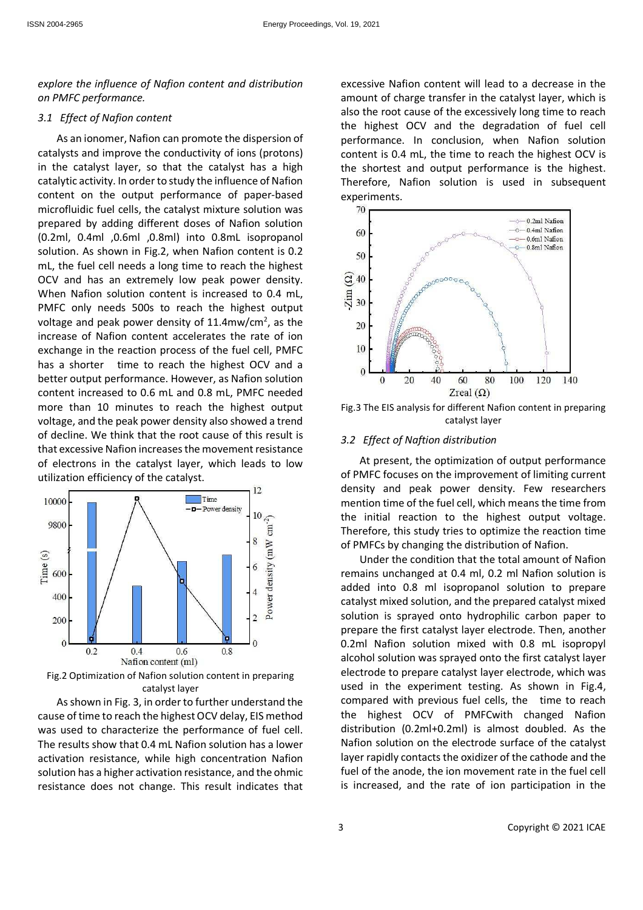*explore the influence of Nafion content and distribution on PMFC performance.* 

### *3.1 Effect of Nafion content*

As an ionomer, Nafion can promote the dispersion of catalysts and improve the conductivity of ions (protons) in the catalyst layer, so that the catalyst has a high catalytic activity. In order to study the influence of Nafion content on the output performance of paper-based microfluidic fuel cells, the catalyst mixture solution was prepared by adding different doses of Nafion solution (0.2ml, 0.4ml ,0.6ml ,0.8ml) into 0.8mL isopropanol solution. As shown in Fig.2, when Nafion content is 0.2 mL, the fuel cell needs a long time to reach the highest OCV and has an extremely low peak power density. When Nafion solution content is increased to 0.4 mL, PMFC only needs 500s to reach the highest output voltage and peak power density of 11.4mw/cm<sup>2</sup>, as the increase of Nafion content accelerates the rate of ion exchange in the reaction process of the fuel cell, PMFC has a shorter time to reach the highest OCV and a better output performance. However, as Nafion solution content increased to 0.6 mL and 0.8 mL, PMFC needed more than 10 minutes to reach the highest output voltage, and the peak power density also showed a trend of decline. We think that the root cause of this result is that excessive Nafion increases the movement resistance of electrons in the catalyst layer, which leads to low utilization efficiency of the catalyst.



Fig.2 Optimization of Nafion solution content in preparing catalyst layer

As shown in Fig. 3, in order to further understand the cause of time to reach the highest OCV delay, EIS method was used to characterize the performance of fuel cell. The results show that 0.4 mL Nafion solution has a lower activation resistance, while high concentration Nafion solution has a higher activation resistance, and the ohmic resistance does not change. This result indicates that excessive Nafion content will lead to a decrease in the amount of charge transfer in the catalyst layer, which is also the root cause of the excessively long time to reach the highest OCV and the degradation of fuel cell performance. In conclusion, when Nafion solution content is 0.4 mL, the time to reach the highest OCV is the shortest and output performance is the highest. Therefore, Nafion solution is used in subsequent experiments.



Fig.3 The EIS analysis for different Nafion content in preparing catalyst layer

#### *3.2 Effect of Naftion distribution*

At present, the optimization of output performance of PMFC focuses on the improvement of limiting current density and peak power density. Few researchers mention time of the fuel cell, which means the time from the initial reaction to the highest output voltage. Therefore, this study tries to optimize the reaction time of PMFCs by changing the distribution of Nafion.

Under the condition that the total amount of Nafion remains unchanged at 0.4 ml, 0.2 ml Nafion solution is added into 0.8 ml isopropanol solution to prepare catalyst mixed solution, and the prepared catalyst mixed solution is sprayed onto hydrophilic carbon paper to prepare the first catalyst layer electrode. Then, another 0.2ml Nafion solution mixed with 0.8 mL isopropyl alcohol solution was sprayed onto the first catalyst layer electrode to prepare catalyst layer electrode, which was used in the experiment testing. As shown in Fig.4, compared with previous fuel cells, the time to reach the highest OCV of PMFCwith changed Nafion distribution (0.2ml+0.2ml) is almost doubled. As the Nafion solution on the electrode surface of the catalyst layer rapidly contacts the oxidizer of the cathode and the fuel of the anode, the ion movement rate in the fuel cell is increased, and the rate of ion participation in the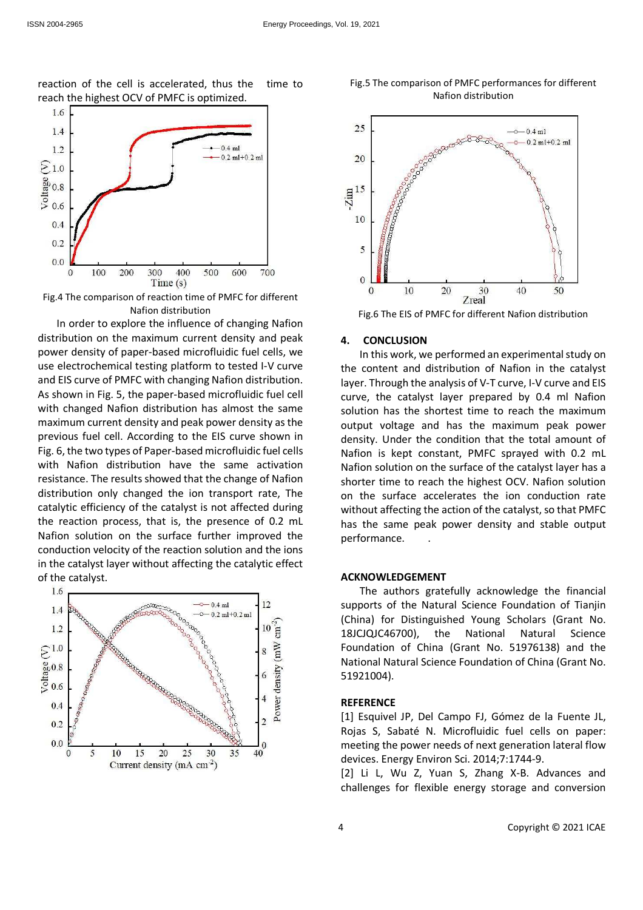reaction of the cell is accelerated, thus the time to reach the highest OCV of PMFC is optimized.



Fig.4 The comparison of reaction time of PMFC for different Nafion distribution

In order to explore the influence of changing Nafion distribution on the maximum current density and peak power density of paper-based microfluidic fuel cells, we use electrochemical testing platform to tested I-V curve and EIS curve of PMFC with changing Nafion distribution. As shown in Fig. 5, the paper-based microfluidic fuel cell with changed Nafion distribution has almost the same maximum current density and peak power density as the previous fuel cell. According to the EIS curve shown in Fig. 6, the two types of Paper-based microfluidic fuel cells with Nafion distribution have the same activation resistance. The results showed that the change of Nafion distribution only changed the ion transport rate, The catalytic efficiency of the catalyst is not affected during the reaction process, that is, the presence of 0.2 mL Nafion solution on the surface further improved the conduction velocity of the reaction solution and the ions in the catalyst layer without affecting the catalytic effect of the catalyst.







### **4. CONCLUSION**

In this work, we performed an experimental study on the content and distribution of Nafion in the catalyst layer. Through the analysis of V-T curve, I-V curve and EIS curve, the catalyst layer prepared by 0.4 ml Nafion solution has the shortest time to reach the maximum output voltage and has the maximum peak power density. Under the condition that the total amount of Nafion is kept constant, PMFC sprayed with 0.2 mL Nafion solution on the surface of the catalyst layer has a shorter time to reach the highest OCV. Nafion solution on the surface accelerates the ion conduction rate without affecting the action of the catalyst, so that PMFC has the same peak power density and stable output performance. .

#### **ACKNOWLEDGEMENT**

The authors gratefully acknowledge the financial supports of the Natural Science Foundation of Tianjin (China) for Distinguished Young Scholars (Grant No. 18JCJQJC46700), the National Natural Science Foundation of China (Grant No. 51976138) and the National Natural Science Foundation of China (Grant No. 51921004).

#### **REFERENCE**

[1] Esquivel JP, Del Campo FJ, Gómez de la Fuente JL, Rojas S, Sabaté N. Microfluidic fuel cells on paper: meeting the power needs of next generation lateral flow devices. Energy Environ Sci. 2014;7:1744-9.

[2] Li L, Wu Z, Yuan S, Zhang X-B. Advances and challenges for flexible energy storage and conversion